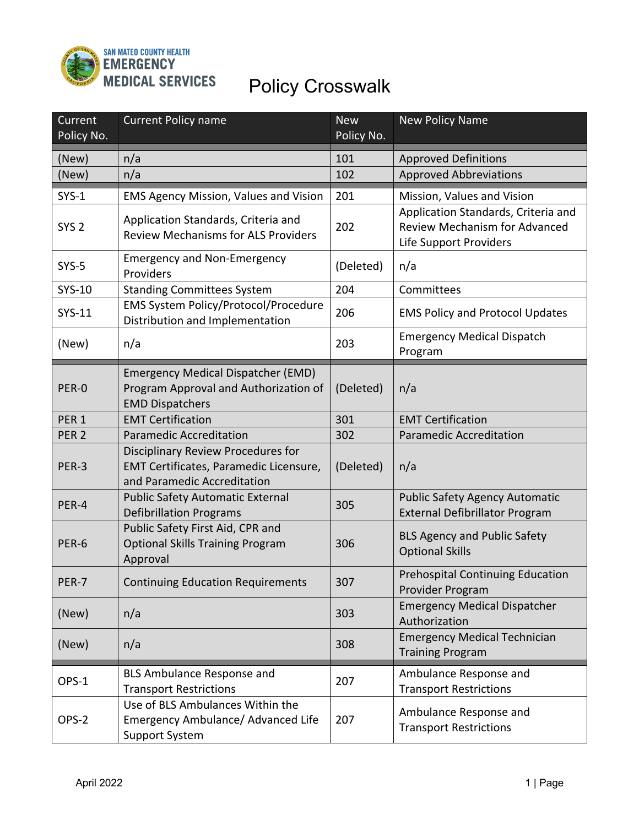

| Current          | <b>Current Policy name</b>                                                                                  | <b>New</b> | <b>New Policy Name</b>                                                                                |
|------------------|-------------------------------------------------------------------------------------------------------------|------------|-------------------------------------------------------------------------------------------------------|
| Policy No.       |                                                                                                             | Policy No. |                                                                                                       |
| (New)            | n/a                                                                                                         | 101        | <b>Approved Definitions</b>                                                                           |
| (New)            | n/a                                                                                                         | 102        | <b>Approved Abbreviations</b>                                                                         |
| $SYS-1$          | <b>EMS Agency Mission, Values and Vision</b>                                                                | 201        | Mission, Values and Vision                                                                            |
| SYS <sub>2</sub> | Application Standards, Criteria and<br><b>Review Mechanisms for ALS Providers</b>                           | 202        | Application Standards, Criteria and<br><b>Review Mechanism for Advanced</b><br>Life Support Providers |
| $SYS-5$          | <b>Emergency and Non-Emergency</b><br>Providers                                                             | (Deleted)  | n/a                                                                                                   |
| SYS-10           | <b>Standing Committees System</b>                                                                           | 204        | Committees                                                                                            |
| SYS-11           | EMS System Policy/Protocol/Procedure<br>Distribution and Implementation                                     | 206        | <b>EMS Policy and Protocol Updates</b>                                                                |
| (New)            | n/a                                                                                                         | 203        | <b>Emergency Medical Dispatch</b><br>Program                                                          |
|                  | <b>Emergency Medical Dispatcher (EMD)</b>                                                                   |            |                                                                                                       |
| PER-0            | Program Approval and Authorization of<br><b>EMD Dispatchers</b>                                             | (Deleted)  | n/a                                                                                                   |
| PER <sub>1</sub> | <b>EMT Certification</b>                                                                                    | 301        | <b>EMT Certification</b>                                                                              |
| PER <sub>2</sub> | <b>Paramedic Accreditation</b>                                                                              | 302        | <b>Paramedic Accreditation</b>                                                                        |
| PER-3            | Disciplinary Review Procedures for<br>EMT Certificates, Paramedic Licensure,<br>and Paramedic Accreditation | (Deleted)  | n/a                                                                                                   |
| PER-4            | <b>Public Safety Automatic External</b><br><b>Defibrillation Programs</b>                                   | 305        | <b>Public Safety Agency Automatic</b><br><b>External Defibrillator Program</b>                        |
| PER-6            | Public Safety First Aid, CPR and<br><b>Optional Skills Training Program</b><br>Approval                     | 306        | <b>BLS Agency and Public Safety</b><br><b>Optional Skills</b>                                         |
| PER-7            | <b>Continuing Education Requirements</b>                                                                    | 307        | <b>Prehospital Continuing Education</b><br>Provider Program                                           |
| (New)            | n/a                                                                                                         | 303        | <b>Emergency Medical Dispatcher</b><br>Authorization                                                  |
| (New)            | n/a                                                                                                         | 308        | <b>Emergency Medical Technician</b><br><b>Training Program</b>                                        |
| OPS-1            | <b>BLS Ambulance Response and</b><br><b>Transport Restrictions</b>                                          | 207        | Ambulance Response and<br><b>Transport Restrictions</b>                                               |
| OPS-2            | Use of BLS Ambulances Within the<br>Emergency Ambulance/ Advanced Life<br><b>Support System</b>             | 207        | Ambulance Response and<br><b>Transport Restrictions</b>                                               |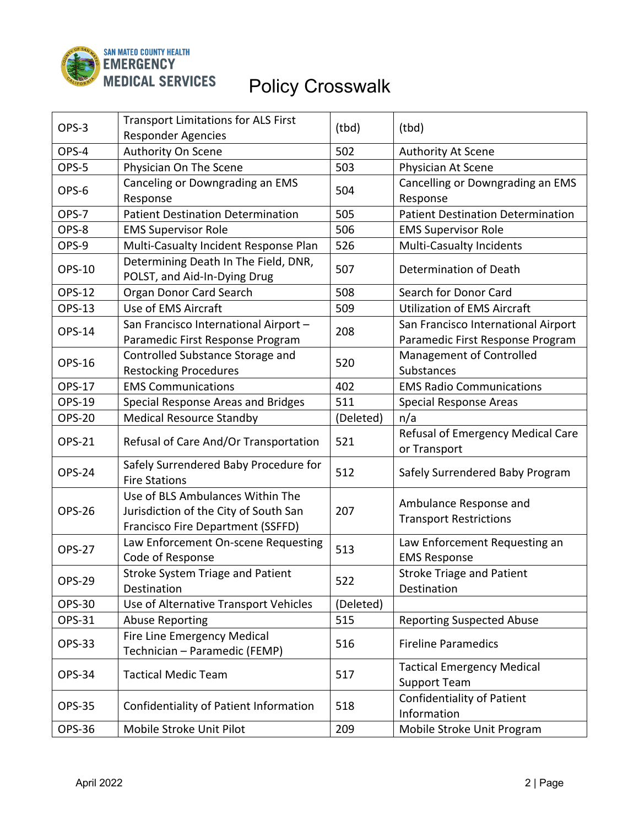

| OPS-3         | <b>Transport Limitations for ALS First</b><br><b>Responder Agencies</b>                                        | (tbd)     | (tbd)                                                                   |
|---------------|----------------------------------------------------------------------------------------------------------------|-----------|-------------------------------------------------------------------------|
| OPS-4         | Authority On Scene                                                                                             | 502       | <b>Authority At Scene</b>                                               |
| OPS-5         | Physician On The Scene                                                                                         | 503       | Physician At Scene                                                      |
| OPS-6         | Canceling or Downgrading an EMS<br>Response                                                                    | 504       | Cancelling or Downgrading an EMS<br>Response                            |
| OPS-7         | <b>Patient Destination Determination</b>                                                                       | 505       | <b>Patient Destination Determination</b>                                |
| OPS-8         | <b>EMS Supervisor Role</b>                                                                                     | 506       | <b>EMS Supervisor Role</b>                                              |
| OPS-9         | Multi-Casualty Incident Response Plan                                                                          | 526       | <b>Multi-Casualty Incidents</b>                                         |
| <b>OPS-10</b> | Determining Death In The Field, DNR,<br>POLST, and Aid-In-Dying Drug                                           | 507       | Determination of Death                                                  |
| <b>OPS-12</b> | Organ Donor Card Search                                                                                        | 508       | Search for Donor Card                                                   |
| <b>OPS-13</b> | Use of EMS Aircraft                                                                                            | 509       | <b>Utilization of EMS Aircraft</b>                                      |
| OPS-14        | San Francisco International Airport -<br>Paramedic First Response Program                                      | 208       | San Francisco International Airport<br>Paramedic First Response Program |
| <b>OPS-16</b> | Controlled Substance Storage and<br><b>Restocking Procedures</b>                                               | 520       | Management of Controlled<br>Substances                                  |
| <b>OPS-17</b> | <b>EMS Communications</b>                                                                                      | 402       | <b>EMS Radio Communications</b>                                         |
| <b>OPS-19</b> | Special Response Areas and Bridges                                                                             | 511       | <b>Special Response Areas</b>                                           |
| <b>OPS-20</b> | <b>Medical Resource Standby</b>                                                                                | (Deleted) | n/a                                                                     |
| <b>OPS-21</b> | Refusal of Care And/Or Transportation                                                                          | 521       | Refusal of Emergency Medical Care<br>or Transport                       |
| <b>OPS-24</b> | Safely Surrendered Baby Procedure for<br><b>Fire Stations</b>                                                  | 512       | Safely Surrendered Baby Program                                         |
| <b>OPS-26</b> | Use of BLS Ambulances Within The<br>Jurisdiction of the City of South San<br>Francisco Fire Department (SSFFD) | 207       | Ambulance Response and<br><b>Transport Restrictions</b>                 |
| <b>OPS-27</b> | Law Enforcement On-scene Requesting<br>Code of Response                                                        | 513       | Law Enforcement Requesting an<br><b>EMS Response</b>                    |
| <b>OPS-29</b> | <b>Stroke System Triage and Patient</b><br>Destination                                                         | 522       | <b>Stroke Triage and Patient</b><br>Destination                         |
| <b>OPS-30</b> | Use of Alternative Transport Vehicles                                                                          | (Deleted) |                                                                         |
| OPS-31        | <b>Abuse Reporting</b>                                                                                         | 515       | <b>Reporting Suspected Abuse</b>                                        |
| <b>OPS-33</b> | Fire Line Emergency Medical<br>Technician - Paramedic (FEMP)                                                   | 516       | <b>Fireline Paramedics</b>                                              |
| OPS-34        | <b>Tactical Medic Team</b>                                                                                     | 517       | <b>Tactical Emergency Medical</b><br><b>Support Team</b>                |
| <b>OPS-35</b> | Confidentiality of Patient Information                                                                         | 518       | <b>Confidentiality of Patient</b><br>Information                        |
| <b>OPS-36</b> | Mobile Stroke Unit Pilot                                                                                       | 209       | Mobile Stroke Unit Program                                              |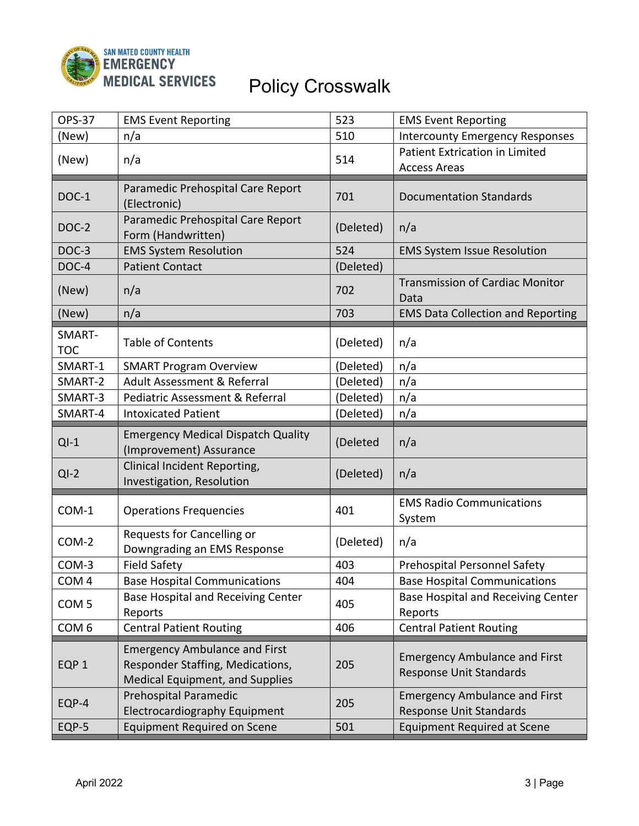

| <b>OPS-37</b>        | <b>EMS Event Reporting</b>                                                                                  | 523       | <b>EMS Event Reporting</b>                                             |
|----------------------|-------------------------------------------------------------------------------------------------------------|-----------|------------------------------------------------------------------------|
| (New)                | n/a                                                                                                         | 510       | <b>Intercounty Emergency Responses</b>                                 |
| (New)                | n/a                                                                                                         | 514       | Patient Extrication in Limited<br><b>Access Areas</b>                  |
| <b>DOC-1</b>         | Paramedic Prehospital Care Report<br>(Electronic)                                                           | 701       | <b>Documentation Standards</b>                                         |
| DOC-2                | Paramedic Prehospital Care Report<br>Form (Handwritten)                                                     | (Deleted) | n/a                                                                    |
| DOC-3                | <b>EMS System Resolution</b>                                                                                | 524       | <b>EMS System Issue Resolution</b>                                     |
| DOC-4                | <b>Patient Contact</b>                                                                                      | (Deleted) |                                                                        |
| (New)                | n/a                                                                                                         | 702       | <b>Transmission of Cardiac Monitor</b><br>Data                         |
| (New)                | n/a                                                                                                         | 703       | <b>EMS Data Collection and Reporting</b>                               |
| SMART-<br><b>TOC</b> | <b>Table of Contents</b>                                                                                    | (Deleted) | n/a                                                                    |
| SMART-1              | <b>SMART Program Overview</b>                                                                               | (Deleted) | n/a                                                                    |
| SMART-2              | Adult Assessment & Referral                                                                                 | (Deleted) | n/a                                                                    |
| SMART-3              | Pediatric Assessment & Referral                                                                             | (Deleted) | n/a                                                                    |
| SMART-4              | <b>Intoxicated Patient</b>                                                                                  | (Deleted) | n/a                                                                    |
|                      |                                                                                                             |           |                                                                        |
| $QI-1$               | <b>Emergency Medical Dispatch Quality</b><br>(Improvement) Assurance                                        | (Deleted  | n/a                                                                    |
| $QI-2$               | Clinical Incident Reporting,<br>Investigation, Resolution                                                   | (Deleted) | n/a                                                                    |
| COM-1                | <b>Operations Frequencies</b>                                                                               | 401       | <b>EMS Radio Communications</b><br>System                              |
| COM-2                | Requests for Cancelling or<br>Downgrading an EMS Response                                                   | (Deleted) | n/a                                                                    |
| COM-3                | <b>Field Safety</b>                                                                                         | 403       | Prehospital Personnel Safety                                           |
| COM <sub>4</sub>     | <b>Base Hospital Communications</b>                                                                         | 404       | <b>Base Hospital Communications</b>                                    |
| COM <sub>5</sub>     | Base Hospital and Receiving Center<br>Reports                                                               | 405       | <b>Base Hospital and Receiving Center</b><br>Reports                   |
| COM <sub>6</sub>     | <b>Central Patient Routing</b>                                                                              | 406       | <b>Central Patient Routing</b>                                         |
| EQP <sub>1</sub>     | <b>Emergency Ambulance and First</b><br>Responder Staffing, Medications,<br>Medical Equipment, and Supplies | 205       | <b>Emergency Ambulance and First</b><br><b>Response Unit Standards</b> |
| EQP-4                | Prehospital Paramedic<br><b>Electrocardiography Equipment</b>                                               | 205       | <b>Emergency Ambulance and First</b><br><b>Response Unit Standards</b> |